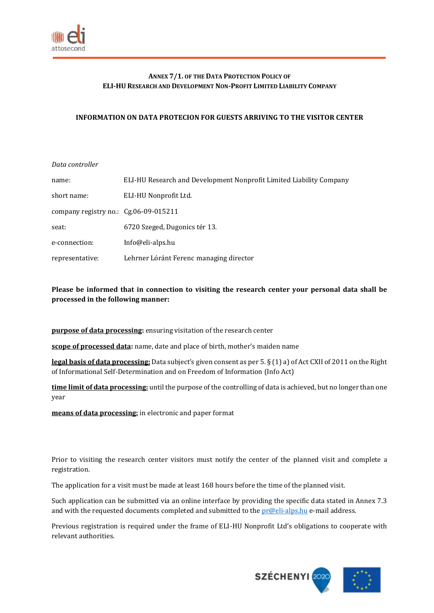

# **ANNEX 7/1. OF THE DATA PROTECTION POLICY OF ELI-HU RESEARCH AND DEVELOPMENT NON-PROFIT LIMITED LIABILITY COMPANY**

### **INFORMATION ON DATA PROTECION FOR GUESTS ARRIVING TO THE VISITOR CENTER**

#### *Data controller*

| name:                                   | ELI-HU Research and Development Nonprofit Limited Liability Company |
|-----------------------------------------|---------------------------------------------------------------------|
| short name:                             | ELI-HU Nonprofit Ltd.                                               |
| company registry no.: $Cg.06-09-015211$ |                                                                     |
| seat:                                   | 6720 Szeged, Dugonics tér 13.                                       |
| e-connection:                           | Info@eli-alps.hu                                                    |
| representative:                         | Lehrner Lóránt Ferenc managing director                             |

## **Please be informed that in connection to visiting the research center your personal data shall be processed in the following manner:**

**purpose of data processing:** ensuring visitation of the research center

**scope of processed data:** name, date and place of birth, mother's maiden name

**legal basis of data processing:** Data subject's given consent as per 5. § (1) a) of Act CXII of 2011 on the Right of Informational Self-Determination and on Freedom of Information (Info Act)

**time limit of data processing:** until the purpose of the controlling of data is achieved, but no longer than one year

**means of data processing:** in electronic and paper format

Prior to visiting the research center visitors must notify the center of the planned visit and complete a registration.

The application for a visit must be made at least 168 hours before the time of the planned visit.

Such application can be submitted via an online interface by providing the specific data stated in Annex 7.3 and with the requested documents completed and submitted to the  $pr@eli-alps.hu$  e-mail address.

Previous registration is required under the frame of ELI-HU Nonprofit Ltd's obligations to cooperate with relevant authorities.

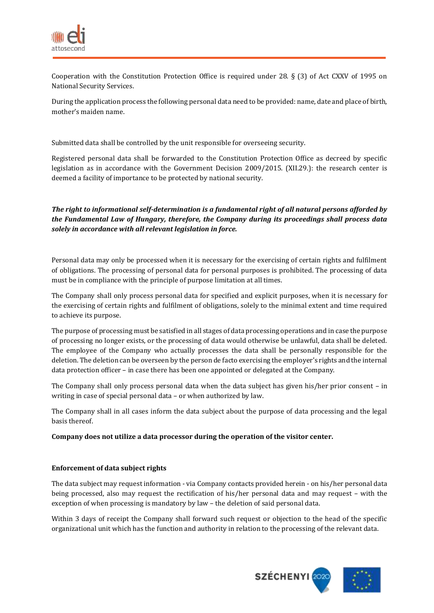

Cooperation with the Constitution Protection Office is required under 28. § (3) of Act CXXV of 1995 on National Security Services.

During the application process the following personal data need to be provided: name, date and place of birth, mother's maiden name.

Submitted data shall be controlled by the unit responsible for overseeing security.

Registered personal data shall be forwarded to the Constitution Protection Office as decreed by specific legislation as in accordance with the Government Decision 2009/2015. (XII.29.): the research center is deemed a facility of importance to be protected by national security.

## *The right to informational self-determination is a fundamental right of all natural persons afforded by the Fundamental Law of Hungary, therefore, the Company during its proceedings shall process data solely in accordance with all relevant legislation in force.*

Personal data may only be processed when it is necessary for the exercising of certain rights and fulfilment of obligations. The processing of personal data for personal purposes is prohibited. The processing of data must be in compliance with the principle of purpose limitation at all times.

The Company shall only process personal data for specified and explicit purposes, when it is necessary for the exercising of certain rights and fulfilment of obligations, solely to the minimal extent and time required to achieve its purpose.

The purpose of processing must be satisfied in all stages of data processing operations and in case the purpose of processing no longer exists, or the processing of data would otherwise be unlawful, data shall be deleted. The employee of the Company who actually processes the data shall be personally responsible for the deletion. The deletion can be overseen by the person de facto exercising the employer's rights and the internal data protection officer – in case there has been one appointed or delegated at the Company.

The Company shall only process personal data when the data subject has given his/her prior consent – in writing in case of special personal data – or when authorized by law.

The Company shall in all cases inform the data subject about the purpose of data processing and the legal basis thereof.

#### **Company does not utilize a data processor during the operation of the visitor center.**

#### **Enforcement of data subject rights**

The data subject may request information - via Company contacts provided herein - on his/her personal data being processed, also may request the rectification of his/her personal data and may request – with the exception of when processing is mandatory by law – the deletion of said personal data.

Within 3 days of receipt the Company shall forward such request or objection to the head of the specific organizational unit which has the function and authority in relation to the processing of the relevant data.